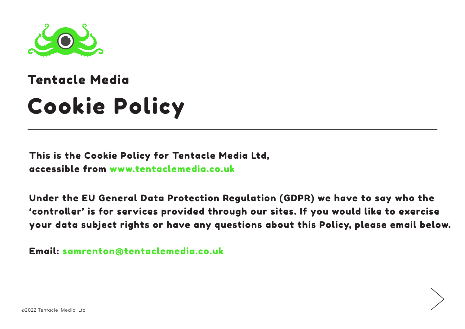

# Cookie Policy Tentacle Media

This is the Cookie Policy for Tentacle Media Ltd, accessible from www.tentaclemedia.co.uk

Under the EU General Data Protection Regulation (GDPR) we have to say who the 'controller' is for services provided through our sites. If you would like to exercise your data subject rights or have any questions about this Policy, please email below.

Email: samrenton@tentaclemedia.co.uk

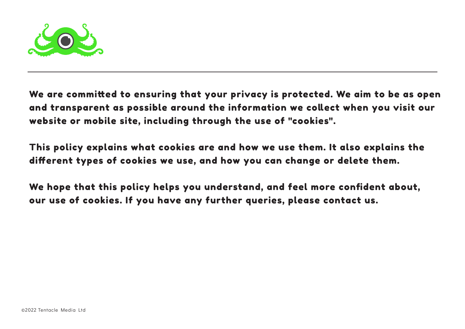

We are committed to ensuring that your privacy is protected. We aim to be as open and transparent as possible around the information we collect when you visit our website or mobile site, including through the use of "cookies".

This policy explains what cookies are and how we use them. It also explains the different types of cookies we use, and how you can change or delete them.

We hope that this policy helps you understand, and feel more confident about, our use of cookies. If you have any further queries, please contact us.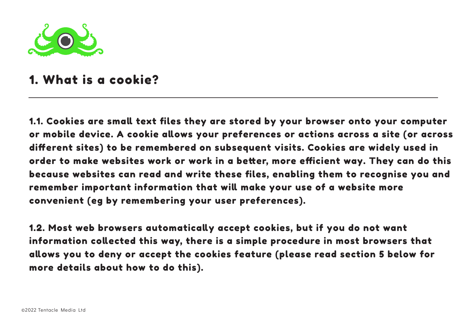

#### 1. What is a cookie?

1.1. Cookies are small text files they are stored by your browser onto your computer or mobile device. A cookie allows your preferences or actions across a site (or across different sites) to be remembered on subsequent visits. Cookies are widely used in order to make websites work or work in a better, more efficient way. They can do this because websites can read and write these files, enabling them to recognise you and remember important information that will make your use of a website more convenient (eg by remembering your user preferences).

1.2. Most web browsers automatically accept cookies, but if you do not want information collected this way, there is a simple procedure in most browsers that allows you to deny or accept the cookies feature (please read section 5 below for more details about how to do this).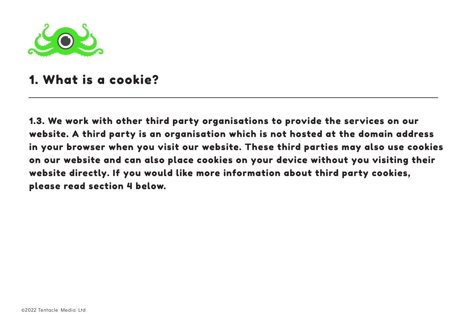

#### 1. What is a cookie?

1.3. We work with other third party organisations to provide the services on our website. A third party is an organisation which is not hosted at the domain address in your browser when you visit our website. These third parties may also use cookies on our website and can also place cookies on your device without you visiting their website directly. If you would like more information about third party cookies, please read section 4 below.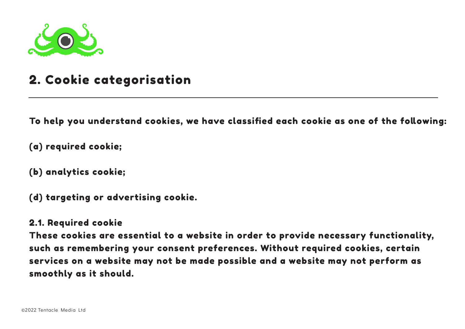

## 2. Cookie categorisation

To help you understand cookies, we have classified each cookie as one of the following:

(a) required cookie;

(b) analytics cookie;

(d) targeting or advertising cookie.

#### 2.1. Required cookie

These cookies are essential to a website in order to provide necessary functionality, such as remembering your consent preferences. Without required cookies, certain services on a website may not be made possible and a website may not perform as smoothly as it should.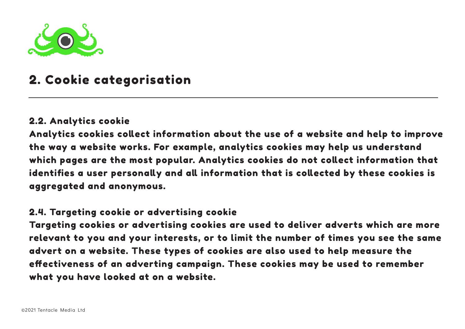

## 2. Cookie categorisation

#### 2.2. Analytics cookie

Analytics cookies collect information about the use of a website and help to improve the way a website works. For example, analytics cookies may help us understand which pages are the most popular. Analytics cookies do not collect information that identifies a user personally and all information that is collected by these cookies is aggregated and anonymous.

#### 2.4. Targeting cookie or advertising cookie

Targeting cookies or advertising cookies are used to deliver adverts which are more relevant to you and your interests, or to limit the number of times you see the same advert on a website. These types of cookies are also used to help measure the effectiveness of an adverting campaign. These cookies may be used to remember what you have looked at on a website.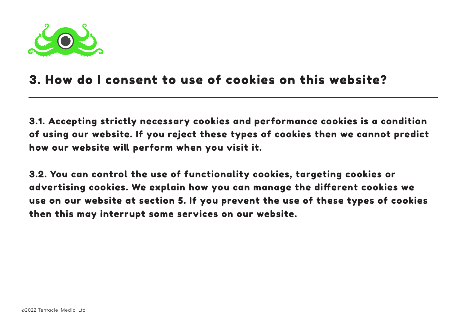

#### 3. How do I consent to use of cookies on this website?

3.1. Accepting strictly necessary cookies and performance cookies is a condition of using our website. If you reject these types of cookies then we cannot predict how our website will perform when you visit it.

3.2. You can control the use of functionality cookies, targeting cookies or advertising cookies. We explain how you can manage the different cookies we use on our website at section 5. If you prevent the use of these types of cookies then this may interrupt some services on our website.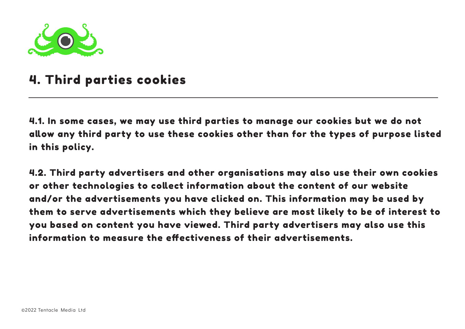

#### 4. Third parties cookies

4.1. In some cases, we may use third parties to manage our cookies but we do not allow any third party to use these cookies other than for the types of purpose listed in this policy.

4.2. Third party advertisers and other organisations may also use their own cookies or other technologies to collect information about the content of our website and/or the advertisements you have clicked on. This information may be used by them to serve advertisements which they believe are most likely to be of interest to you based on content you have viewed. Third party advertisers may also use this information to measure the effectiveness of their advertisements.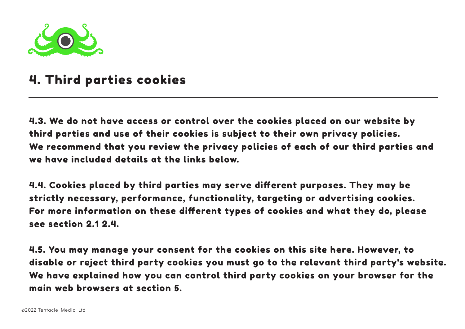

#### 4. Third parties cookies

4.3. We do not have access or control over the cookies placed on our website by third parties and use of their cookies is subject to their own privacy policies. We recommend that you review the privacy policies of each of our third parties and we have included details at the links below.

4.4. Cookies placed by third parties may serve different purposes. They may be strictly necessary, performance, functionality, targeting or advertising cookies. For more information on these different types of cookies and what they do, please see section 2.1 2.4.

4.5. You may manage your consent for the cookies on this site here. However, to disable or reject third party cookies you must go to the relevant third party's website. We have explained how you can control third party cookies on your browser for the main web browsers at section 5.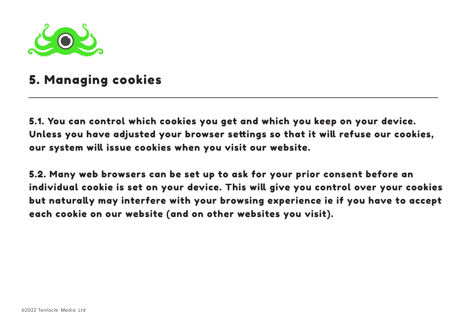

## 5. Managing cookies

5.1. You can control which cookies you get and which you keep on your device. Unless you have adjusted your browser settings so that it will refuse our cookies, our system will issue cookies when you visit our website.

5.2. Many web browsers can be set up to ask for your prior consent before an individual cookie is set on your device. This will give you control over your cookies but naturally may interfere with your browsing experience ie if you have to accept each cookie on our website (and on other websites you visit).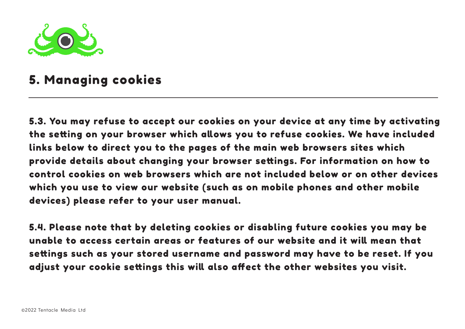

### 5. Managing cookies

5.3. You may refuse to accept our cookies on your device at any time by activating the setting on your browser which allows you to refuse cookies. We have included links below to direct you to the pages of the main web browsers sites which provide details about changing your browser settings. For information on how to control cookies on web browsers which are not included below or on other devices which you use to view our website (such as on mobile phones and other mobile devices) please refer to your user manual.

5.4. Please note that by deleting cookies or disabling future cookies you may be unable to access certain areas or features of our website and it will mean that settings such as your stored username and password may have to be reset. If you adjust your cookie settings this will also affect the other websites you visit.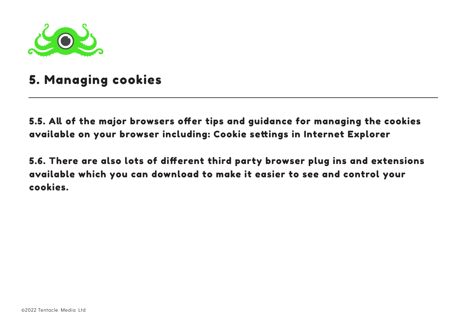

## 5. Managing cookies

5.5. All of the major browsers offer tips and guidance for managing the cookies available on your browser including: Cookie settings in Internet Explorer

5.6. There are also lots of different third party browser plug ins and extensions available which you can download to make it easier to see and control your cookies.